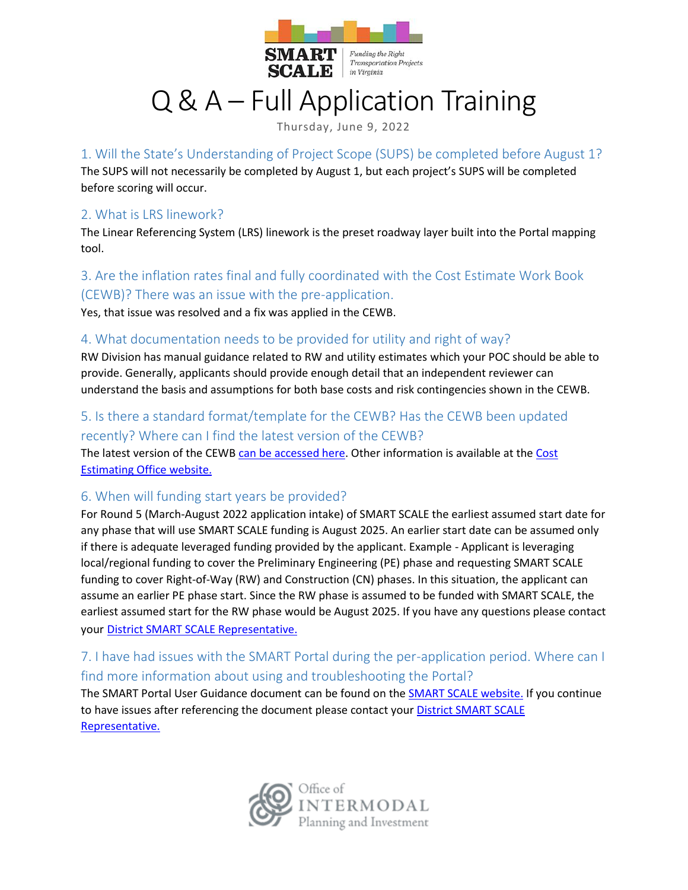

#### Funding the Right **Transportation Projects** in Virginia

# Q & A – Full Application Training

**SCALE** 

Thursday, June 9, 2022

## 1. Will the State's Understanding of Project Scope (SUPS) be completed before August 1?

The SUPS will not necessarily be completed by August 1, but each project's SUPS will be completed before scoring will occur.

#### 2. What is LRS linework?

The Linear Referencing System (LRS) linework is the preset roadway layer built into the Portal mapping tool.

#### 3. Are the inflation rates final and fully coordinated with the Cost Estimate Work Book (CEWB)? There was an issue with the pre-application.

Yes, that issue was resolved and a fix was applied in the CEWB.

#### 4. What documentation needs to be provided for utility and right of way?

RW Division has manual guidance related to RW and utility estimates which your POC should be able to provide. Generally, applicants should provide enough detail that an independent reviewer can understand the basis and assumptions for both base costs and risk contingencies shown in the CEWB.

### 5. Is there a standard format/template for the CEWB? Has the CEWB been updated recently? Where can I find the latest version of the CEWB?

The latest version of the CEWB [can be accessed here.](https://www.virginiadot.org/business/cost_estimate_workbook.asp) Other information is available at the [Cost](https://www.virginiadot.org/business/cost_estimation_office.asp)  [Estimating Office website.](https://www.virginiadot.org/business/cost_estimation_office.asp)

#### 6. When will funding start years be provided?

For Round 5 (March-August 2022 application intake) of SMART SCALE the earliest assumed start date for any phase that will use SMART SCALE funding is August 2025. An earlier start date can be assumed only if there is adequate leveraged funding provided by the applicant. Example - Applicant is leveraging local/regional funding to cover the Preliminary Engineering (PE) phase and requesting SMART SCALE funding to cover Right-of-Way (RW) and Construction (CN) phases. In this situation, the applicant can assume an earlier PE phase start. Since the RW phase is assumed to be funded with SMART SCALE, the earliest assumed start for the RW phase would be August 2025. If you have any questions please contact your [District SMART SCALE Representative.](https://smartportal.virginiahb2.org/#/about/smart-scale)

### 7. I have had issues with the SMART Portal during the per-application period. Where can I find more information about using and troubleshooting the Portal?

The SMART Portal User Guidance document can be found on the **SMART SCALE website.** If you continue to have issues after referencing the document please contact your District SMART SCALE [Representative.](https://smartportal.virginiahb2.org/#/about/smart-scale)